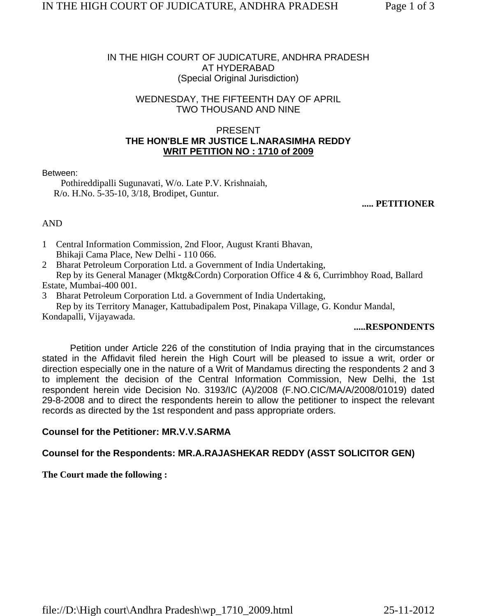### IN THE HIGH COURT OF JUDICATURE, ANDHRA PRADESH AT HYDERABAD (Special Original Jurisdiction)

## WEDNESDAY, THE FIFTEENTH DAY OF APRIL TWO THOUSAND AND NINE

### PRESENT **THE HON'BLE MR JUSTICE L.NARASIMHA REDDY WRIT PETITION NO : 1710 of 2009**

#### Between:

 Pothireddipalli Sugunavati, W/o. Late P.V. Krishnaiah, R/o. H.No. 5-35-10, 3/18, Brodipet, Guntur.

#### **..... PETITIONER**

### AND

- 1 Central Information Commission, 2nd Floor, August Kranti Bhavan, Bhikaji Cama Place, New Delhi - 110 066.
- 2 Bharat Petroleum Corporation Ltd. a Government of India Undertaking,

 Rep by its General Manager (Mktg&Cordn) Corporation Office 4 & 6, Currimbhoy Road, Ballard Estate, Mumbai-400 001.

3 Bharat Petroleum Corporation Ltd. a Government of India Undertaking,

 Rep by its Territory Manager, Kattubadipalem Post, Pinakapa Village, G. Kondur Mandal, Kondapalli, Vijayawada.

### **.....RESPONDENTS**

Petition under Article 226 of the constitution of India praying that in the circumstances stated in the Affidavit filed herein the High Court will be pleased to issue a writ, order or direction especially one in the nature of a Writ of Mandamus directing the respondents 2 and 3 to implement the decision of the Central Information Commission, New Delhi, the 1st respondent herein vide Decision No. 3193/IC (A)/2008 (F.NO.CIC/MA/A/2008/01019) dated 29-8-2008 and to direct the respondents herein to allow the petitioner to inspect the relevant records as directed by the 1st respondent and pass appropriate orders.

## **Counsel for the Petitioner: MR.V.V.SARMA**

## **Counsel for the Respondents: MR.A.RAJASHEKAR REDDY (ASST SOLICITOR GEN)**

### **The Court made the following :**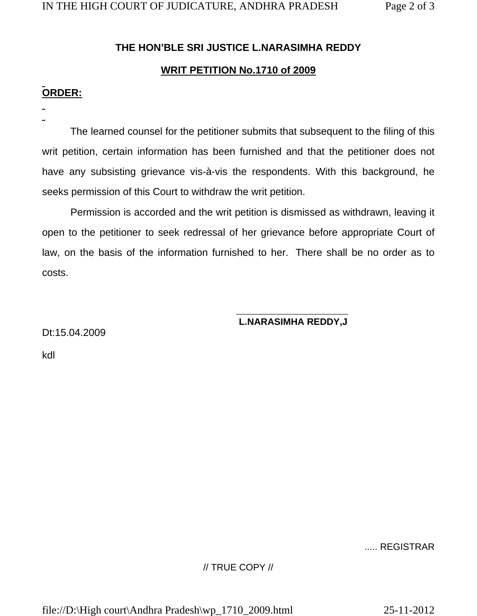# **THE HON'BLE SRI JUSTICE L.NARASIMHA REDDY**

# **WRIT PETITION No.1710 of 2009**

# **ORDER:**

 The learned counsel for the petitioner submits that subsequent to the filing of this writ petition, certain information has been furnished and that the petitioner does not have any subsisting grievance vis-à-vis the respondents. With this background, he seeks permission of this Court to withdraw the writ petition.

 Permission is accorded and the writ petition is dismissed as withdrawn, leaving it open to the petitioner to seek redressal of her grievance before appropriate Court of law, on the basis of the information furnished to her. There shall be no order as to costs.

#### $\mathcal{L}_\text{max}$  , which is a set of the set of the set of the set of the set of the set of the set of the set of the set of the set of the set of the set of the set of the set of the set of the set of the set of the set of **L.NARASIMHA REDDY,J**

Dt:15.04.2009

kdl

## ..... REGISTRAR

## // TRUE COPY //

file://D:\High court\Andhra Pradesh\wp\_1710\_2009.html 25-11-2012